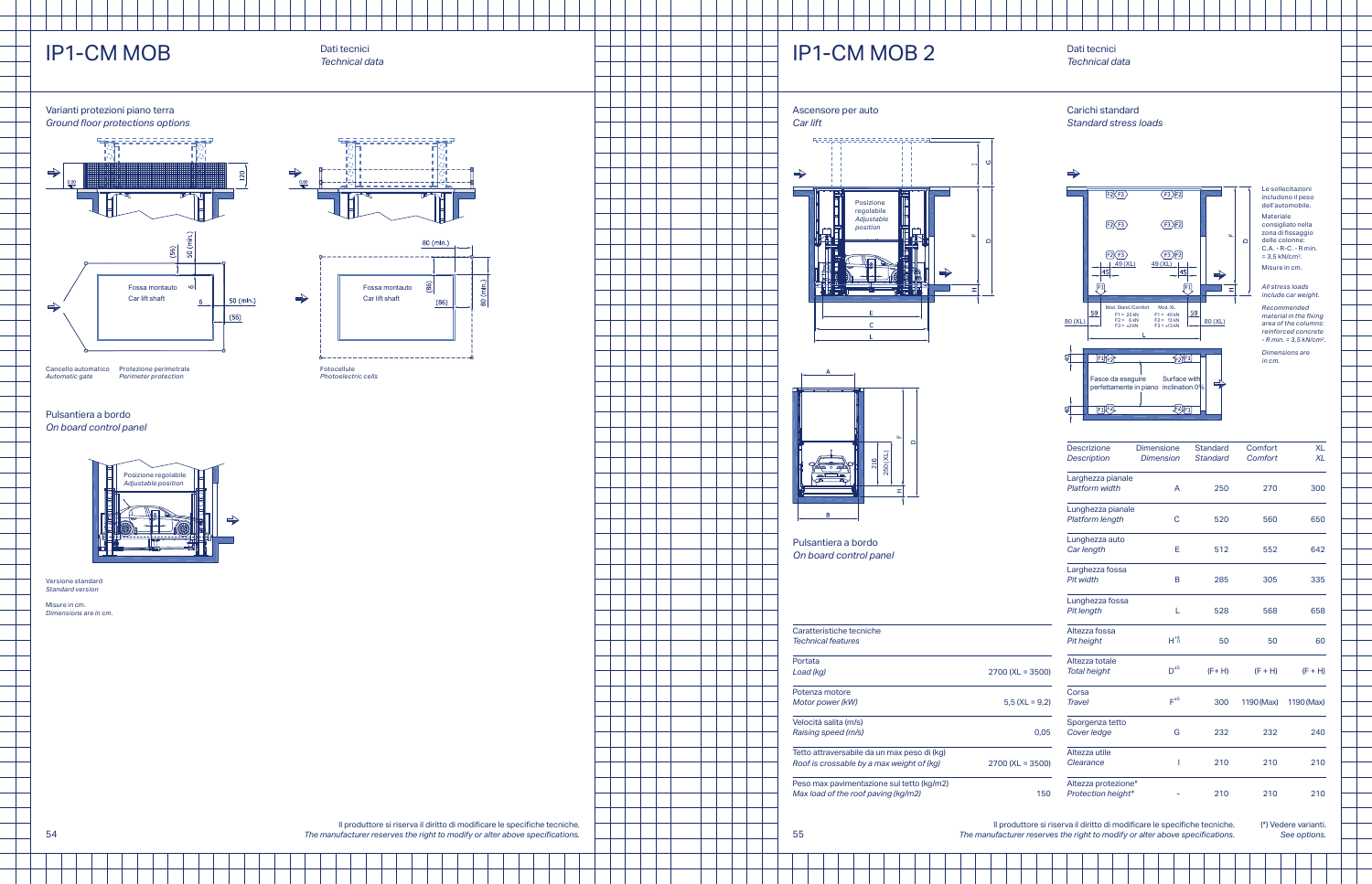# **IP1-CM MOB 2**

### Dati tecnici *Technical data*

#### Ascensore per auto *Car lift*





Pulsantiera a bordo *On board control panel*

| Caratteristiche tecniche                    |                    |
|---------------------------------------------|--------------------|
| <b>Technical features</b>                   |                    |
| Portata                                     |                    |
| Load (kg)                                   | $2700$ (XL = 3500) |
| Potenza motore                              |                    |
| Motor power (kW)                            | $5.5$ (XL = 9.2)   |
| Velocità salita (m/s)                       |                    |
| Raising speed (m/s)                         | 0.05               |
| Tetto attraversabile da un max peso di (kg) |                    |
| Roof is crossable by a max weight of (kg)   | $2700$ (XL = 3500) |
| Peso max pavimentazione sul tetto (kg/m2)   |                    |
| Max load of the roof paving (kg/m2)         | 150                |

### Carichi standard *Standard stress loads*



Le sollecitazioni includono il peso dell'automobile.

Materiale consigliato nella zona di fissaggio delle colonne: C.A. - R-C. - R min. = 3,5 kN/cm2. Misure in cm.

*All stress loads include car weight.* 

*Recommended material in the fixing area of the columns: reinforced concrete - R min. = 3,5 kN /cm2.*

*Dimensions are in cm.*

| <b>Descrizione</b>    | <b>Dimensione</b> | <b>Standard</b> | Comfort    | <b>XL</b>  |
|-----------------------|-------------------|-----------------|------------|------------|
| <b>Description</b>    | <b>Dimension</b>  | <b>Standard</b> | Comfort    | <b>XL</b>  |
| Larghezza pianale     |                   |                 |            |            |
| <b>Platform width</b> | А                 | 250             | 270        | 300        |
| Lunghezza pianale     |                   |                 |            |            |
| Platform length       | C                 | 520             | 560        | 650        |
| Lunghezza auto        |                   |                 |            |            |
| Car length            | E                 | 512             | 552        | 642        |
| Larghezza fossa       |                   |                 |            |            |
| Pit width             | B                 | 285             | 305        | 335        |
| Lunghezza fossa       |                   |                 |            |            |
| Pit length            | L                 | 528             | 568        | 658        |
| Altezza fossa         |                   |                 |            |            |
| Pit height            | $H^{*4}_{0}$      | 50              | 50         | 60         |
| Altezza totale        |                   |                 |            |            |
| <b>Total height</b>   | $D^{\pm 5}$       | $(F+H)$         | $(F + H)$  | $(F + H)$  |
| Corsa                 |                   |                 |            |            |
| <b>Travel</b>         | $F^{\pm 5}$       | 300             | 1190 (Max) | 1190 (Max) |
| Sporgenza tetto       |                   |                 |            |            |
| Cover ledge           | G                 | 232             | 232        | 240        |
| Altezza utile         |                   |                 |            |            |
| Clearance             | I                 | 210             | 210        | 210        |
| Altezza protezione*   |                   |                 |            |            |
| Protection height*    |                   | 210             | 210        | 210        |

 $\begin{array}{c} \begin{array}{c} \text{---} \\ \text{---} \end{array} \end{array}$ 

Il produttore si riserva il diritto di modificare le specifiche tecniche. *The manufacturer reserves the right to modify or alter above specifications.* (\*) Vedere varianti. *See options.*